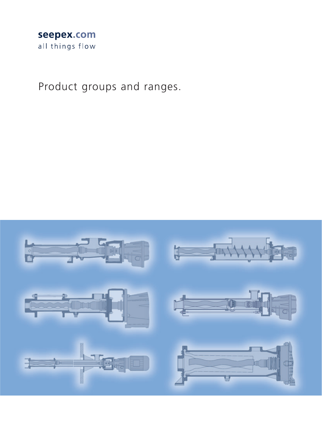### seepex.com all things flow

Product groups and ranges.

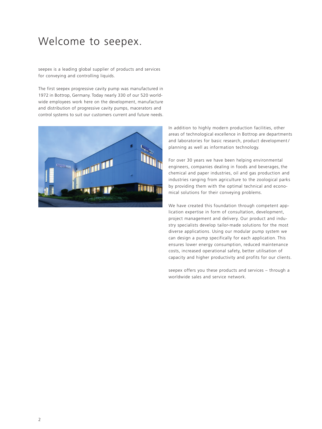### Welcome to seepex.

seepex is a leading global supplier of products and services for conveying and controlling liquids.

The first seepex progressive cavity pump was manufactured in 1972 in Bottrop, Germany. Today nearly 330 of our 520 worldwide employees work here on the development, manufacture and distribution of progressive cavity pumps, macerators and control systems to suit our customers current and future needs.



In addition to highly modern production facilities, other areas of technological excellence in Bottrop are departments and laboratories for basic research, product development / planning as well as information technology.

For over 30 years we have been helping environmental engineers, companies dealing in foods and beverages, the chemical and paper industries, oil and gas production and industries ranging from agriculture to the zoological parks by providing them with the optimal technical and economical solutions for their conveying problems.

We have created this foundation through competent application expertise in form of consultation, development, project management and delivery. Our product and industry specialists develop tailor-made solutions for the most diverse applications. Using our modular pump system we can design a pump specifically for each application. This ensures lower energy consumption, reduced maintenance costs, increased operational safety, better utilisation of capacity and higher productivity and profits for our clients.

seepex offers you these products and services – through a worldwide sales and service network.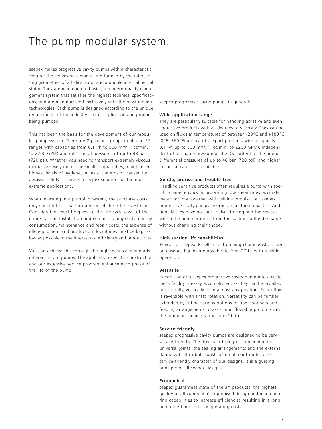### The pump modular system.

seepex makes progressive cavity pumps with a characteristic feature: the conveying elements are formed by the intersecting geometries of <sup>a</sup> helical rotor and <sup>a</sup> double internal helical stator. They are manufactured using a modern quality management system that satisfies the highest technical specifications, and are manufactured exclusively with the most modern technologies. Each pump is designed according to the unique requirements of the industry sector, application and product being pumped.

This has been the basis for the development of our modular pump system. There are 8 product groups in all and 27 ranges with capacities from 0.1 l/h to 500 m3/h (1cc/min. to 2200 GPM) and differential pressures of up to 48 bar (720 psi). Whether you need to transport extremely viscous media, precisely meter the smallest quantities, maintain the highest levels of hygiene, or resist the erosion caused by abrasive solids – there is a seepex solution for the most extreme applications.

When investing in a pumping system, the purchase costs only constitute a small proportion of the total investment. Consideration must be given to the life cycle costs of the entire system. Installation and commissioning costs, energy consumption, maintenance and repair costs, the expense of idle equipment and production downtimes must be kept as low as possible in the interests of efficiency and productivity.

You can achieve this through the high technical standards inherent in our pumps. The application specific construction and our extensive service program enhance each phase of the life of the pump.

seepex progressive cavity pumps in general:

#### **Wide application range**

They are particularly suitable for handling abrasive and even aggressive products with all degrees of viscosity. They can be used on fluids at temperatures of between -20°C and +180°C (0°F–360 °F) and can transport products with a capacity of 0.1 l/h up to 500 m3/h (1 cc/min. to 2200 GPM), independent of discharge pressure or the DS content of the product. Differential pressures of up to 48 bar (720 psi), and higher in special cases, are available.

#### **Gentle, precise and trouble-free**

Handling sensitive products often requires <sup>a</sup> pump with specific characteristics incorporating low shear rates, accurate metering/flow together with minimum pulsation. seepex progressive cavity pumps incorporate all these qualities. Additionally they have no check valves to clog and the cavities within the pump progress from the suction to the discharge without changing their shape.

#### **High suction lift capabilities**

Typical for seepex: Excellent self priming characteristics, even on gaseous liquids are possible to 9 m, 27 ft. with reliable operation.

#### **Versatile**

Integration of <sup>a</sup> seepex progressive cavity pump into <sup>a</sup> customer´s facility is easily accomplished, as they can be installed horizontally, vertically or in almost any position. Pump flow is reversible with shaft rotation. Versatility can be further extended by fitting various options of open hoppers and feeding arrangements to assist non flowable products into the pumping elements, the rotor/stator.

#### **Service-friendly**

seepex progressive cavity pumps are designed to be very service-friendly. The drive shaft plug-in connection, the universal joints, the sealing arrangements and the external flange with thru-bolt construction all contribute to the service-friendly character of our designs. It is a guiding principle of all seepex designs.

#### **Economical**

seepex guarantees state of the art products, the highest quality of all components, optimised design and manufacturing capabilities to increase efficiencies resulting in a long pump life time and low operating costs.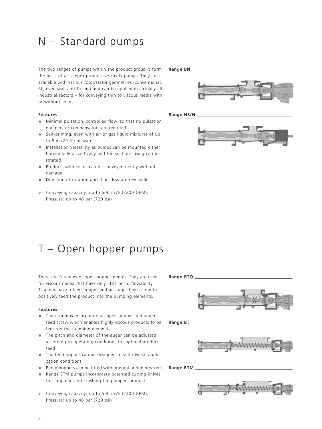### N – Standard pumps

The two ranges of pumps within the product group N form the basis of all seepex progressive cavity pumps. They are available with various rotor/stator geometries (conventional, 6L, even wall and Tricam) and can be applied in virtually all industrial sectors – for conveying thin to viscous media with or without solids.

#### **Features**

- **•** Minimal pulsation, controlled flow, so that no pulsation dampers or compensators are required
- **•** Self-priming, even with air or gas liquid mixtures of up to 9 m (29.5') of water
- **•** Installation versatility as pumps can be mounted either horizontally or vertically and the suction casing can be rotated
- **•** Products with solids can be conveyed gently without damage
- **•** Direction of rotation and fluid flow are reversible
- > Conveying capacity: up to 500 m3/h (2200 GPM), Pressure: up to 48 bar (720 psi)

#### **Range BN**



**Range NS/N**



# T – Open hopper pumps

There are 9 ranges of open hopper pumps. They are used for viscous media that have only little or no flowability. T pumps have a feed hopper and an auger feed screw to positively feed the product into the pumping elements.

#### **Features**

- **•** These pumps incorporate an open hopper and auger feed screw which enables highly viscous products to be fed into the pumping elements
- **•** The pitch and diameter of the auger can be adjusted according to operating conditions for optimal product feed
- **•** The feed hopper can be designed to suit diverse application conditions
- **•** Pump hoppers can be fitted with integral bridge breakers
- **•** Range BTM pumps incorporate patented cutting knives for chopping and crushing the pumped product
- > Conveying capacity: up to 500 m3/h (2200 GPM), Pressure: up to 48 bar (720 psi)

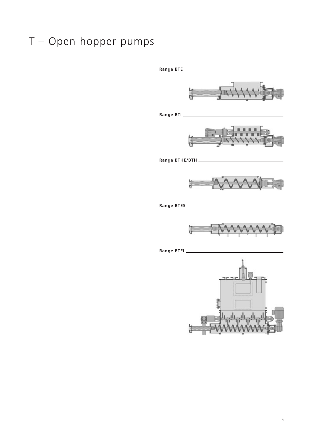# T – Open hopper pumps

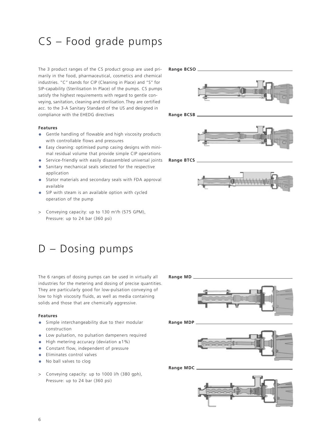# CS – Food grade pumps

The 3 product ranges of the CS product group are used primarily in the food, pharmaceutical, cosmetics and chemical industries. "C" stands for CIP (Cleaning in Place) and "S" for SIP-capability (Sterilisation In Place) of the pumps. CS pumps satisfy the highest requirements with regard to gentle conveying, sanitation, cleaning and sterilisation.They are certified acc. to the 3-A Sanitary Standard of the US and designed in compliance with the EHEDG directives

#### **Features**

- **•** Gentle handling of flowable and high viscosity products with controllable flows and pressures
- **•** Easy cleaning: optimised pump casing designs with minimal residual volume that provide simple CIP operations
- **•** Service-friendly with easily disassembled universal joints
- **•** Sanitary mechanical seals selected for the respective application
- **•** Stator materials and secondary seals with FDA approval available
- **•** SIP with steam is an available option with cycled operation of the pump
- > Conveying capacity: up to 130 m3/h (575 GPM), Pressure: up to 24 bar (360 psi)

## D – Dosing pumps

The 6 ranges of dosing pumps can be used in virtually all industries for the metering and dosing of precise quantities. They are particularly good for low-pulsation conveying of low to high viscosity fluids, as well as media containing solids and those that are chemically aggressive.

#### **Features**

- **•** Simple interchangeability due to their modular construction
- **•** Low pulsation, no pulsation dampeners required
- **•** High metering accuracy (deviation ±1%)
- **•** Constant flow, independent of pressure
- **•** Eliminates control valves
- **•** No ball valves to clog
- > Conveying capacity: up to 1000 l/h (380 gph), Pressure: up to 24 bar (360 psi)





**Range BCSB**



**Range BTCS**



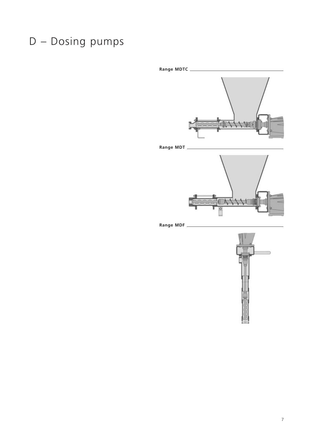# D – Dosing pumps





7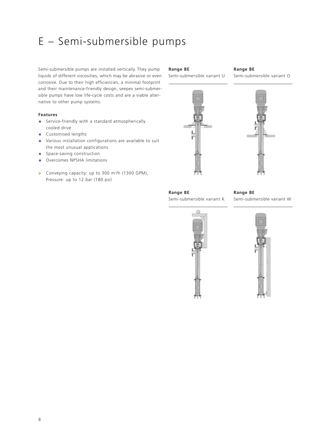# E – Semi-submersible pumps

Semi-submersible pumps are installed vertically. They pump liquids of different viscosities, which may be abrasive or even corrosive. Due to their high efficiencies, a minimal footprint and their maintenance-friendly design, seepex semi-submersible pumps have low life-cycle costs and are a viable alternative to other pump systems.

#### **Features**

- **•** Service-friendly with a standard atmospherically cooled drive
- **•** Customised lengths
- **•** Various installation configurations are available to suit the most unusual applications
- **•** Space-saving construction
- **•**Overcomes NPSHA limitations
- > Conveying capacity: up to 300 m3/h (1300 GPM), Pressure: up to 12 bar (180 psi)

#### **Range BE**

Semi-submersible variant U



#### **Range BE**  Semi-submersible variant O



**Range BE** Semi-submersible variant K

**Range BE**  Semi-submersible variant W



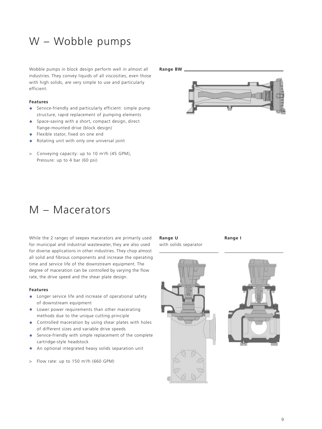# W – Wobble pumps

Wobble pumps in block design perform well in almost all industries. They convey liquids of all viscosities, even those with high solids, are very simple to use and particularly efficient.

#### **Features**

- **•** Service-friendly and particularly efficient: simple pump structure, rapid replacement of pumping elements
- **•** Space-saving with a short, compact design, direct flange-mounted drive (block design)
- **•** Flexible stator, fixed on one end
- **•** Rotating unit with only one universal joint
- > Conveying capacity: up to 10 m3/h (45 GPM), Pressure: up to 4 bar (60 psi)

#### **Range BW**



### M – Macerators

While the 2 ranges of seepex macerators are primarily used for municipal and industrial wastewater, they are also used for diverse applications in other industries. They chop almost all solid and fibrous components and increase the operating time and service life of the downstream equipment. The degree of maceration can be controlled by varying the flow rate, the drive speed and the shear plate design.

#### **Features**

- **•** Longer service life and increase of operational safety of downstream equipment
- **•** Lower power requirements than other macerating methods due to the unique cutting principle
- **•** Controlled maceration by using shear plates with holes of different sizes and variable drive speeds
- **•** Service-friendly with simple replacement of the complete cartridge-style headstock
- **•** An optional integrated heavy solids separation unit
- > Flow rate: up to 150 m3/h (660 GPM)

#### **Range U**

with solids separator

**Range I** 



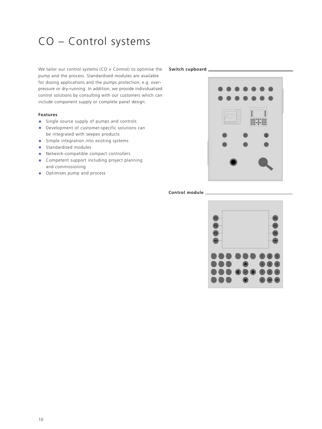# CO – Control systems

We tailor our control systems (CO = Control) to optimise the **Switch cupboard** pump and the process. Standardised modules are available for dosing applications and the pumps protection, e.g. overpressure or dry-running. In addition, we provide individualised control solutions by consulting with our customers which can include component supply or complete panel design.

#### **Features**

- **•** Single source supply of pumps and controls
- **•** Development of customer-specific solutions can be integrated with seepex products
- **•** Simple integration into existing systems
- **•** Standardised modules
- **•** Network-compatible compact controllers
- **•** Competent support including project planning and commissioning
- **•** Optimises pump and process



### **Control module**

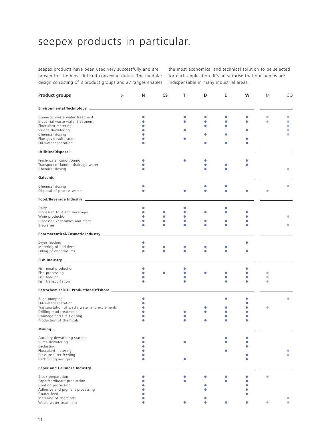# seepex products in particular.

seepex products have been used very successfully and are proven for the most difficult conveying duties. The modular design consisting of 8 product groups and 27 ranges enables

the most economical and technical solution to be selected for each application. It´s no surprise that our pumps are indispensable in many industrial areas.

| <b>Product groups</b>                                                                                                                                                                                                               | > | N         | CS | т         | D         | Е | w | М | CO             |
|-------------------------------------------------------------------------------------------------------------------------------------------------------------------------------------------------------------------------------------|---|-----------|----|-----------|-----------|---|---|---|----------------|
|                                                                                                                                                                                                                                     |   |           |    |           |           |   |   |   |                |
| Domestic waste water treatment                                                                                                                                                                                                      |   | $\bullet$ |    |           | $\bullet$ |   |   | O | $\bullet$      |
| Industrial waste water treatment                                                                                                                                                                                                    |   | $\bullet$ |    |           |           |   |   | ۰ | $\bullet$      |
| Flocculant metering                                                                                                                                                                                                                 |   |           |    |           |           |   |   |   | $\bullet$      |
|                                                                                                                                                                                                                                     |   |           |    |           |           |   |   |   | $\bullet$      |
| Sludge dewatering<br>Chemical dosing                                                                                                                                                                                                |   |           |    |           |           |   |   |   | $\blacksquare$ |
|                                                                                                                                                                                                                                     |   |           |    |           |           |   |   |   |                |
| Flue gas desulfuration<br>Oil-water-separation                                                                                                                                                                                      |   |           |    |           |           |   |   |   |                |
|                                                                                                                                                                                                                                     |   |           |    |           |           |   |   |   |                |
|                                                                                                                                                                                                                                     |   |           |    |           |           |   |   |   |                |
| Fresh-water conditioning                                                                                                                                                                                                            |   | $\bullet$ |    |           |           |   |   |   |                |
| Transport of landfill drainage water<br>Chemical dosing                                                                                                                                                                             |   |           |    |           |           |   |   |   | $\bullet$      |
|                                                                                                                                                                                                                                     |   |           |    |           |           |   |   |   |                |
|                                                                                                                                                                                                                                     |   |           |    |           |           |   |   |   |                |
| Chemical dosing<br>Disposal of process waste                                                                                                                                                                                        |   | $\bullet$ |    |           |           |   |   |   | O              |
|                                                                                                                                                                                                                                     |   |           |    |           |           |   |   |   |                |
|                                                                                                                                                                                                                                     |   |           |    |           |           |   |   |   |                |
| Dairy                                                                                                                                                                                                                               |   | $\bullet$ |    |           |           |   |   |   |                |
| Processed fruit and beverages                                                                                                                                                                                                       |   | $\bullet$ |    |           |           |   |   |   |                |
| Wine production                                                                                                                                                                                                                     |   | $\bullet$ |    | O         |           |   |   |   |                |
| Processed vegetables and meat<br><b>Breweries</b>                                                                                                                                                                                   |   |           |    | $\bullet$ |           |   |   |   | O              |
|                                                                                                                                                                                                                                     |   |           |    |           |           |   |   |   |                |
|                                                                                                                                                                                                                                     |   |           |    |           |           |   |   |   |                |
| Dryer feeding                                                                                                                                                                                                                       |   |           |    |           |           |   |   |   |                |
| Metering of additives                                                                                                                                                                                                               |   |           |    |           |           |   |   |   |                |
| Filling of endproducts                                                                                                                                                                                                              |   |           |    |           |           |   |   |   |                |
| Fish Industry <u>- Andrea Barrell and Barrell</u> and Barrell and Barrell and Barrell and Barrell and Barrell and Barrell and Barrell and Barrell and Barrell and Barrell and Barrell and Barrell and Barrell and Barrell and Barre |   |           |    |           |           |   |   |   |                |
| Fish meal production                                                                                                                                                                                                                |   | $\bullet$ |    |           |           |   |   |   |                |
| Fish processing                                                                                                                                                                                                                     |   | $\bullet$ |    |           |           |   |   | ۰ |                |
| Fish feeding                                                                                                                                                                                                                        |   |           |    |           |           |   |   | O |                |
| Fish transportation                                                                                                                                                                                                                 |   |           |    |           |           |   |   | O |                |
| Petrochemical/Oil Production/Offshore ______________                                                                                                                                                                                |   |           |    |           |           |   |   |   |                |
| Bilge-pumping                                                                                                                                                                                                                       |   | $\bullet$ |    |           |           |   |   |   |                |
| Oil-water-separation                                                                                                                                                                                                                |   | $\bullet$ |    |           |           |   |   |   |                |
| Transportation of waste water and excrements                                                                                                                                                                                        |   | $\bullet$ |    |           |           |   |   |   |                |
| Drilling mud treatment                                                                                                                                                                                                              |   | $\bullet$ |    |           |           |   |   |   |                |
| Drainage and fire fighting                                                                                                                                                                                                          |   | 0         |    |           |           |   |   |   |                |
| Production of chemicals                                                                                                                                                                                                             |   |           |    |           |           |   |   |   |                |
|                                                                                                                                                                                                                                     |   |           |    |           |           |   |   |   |                |
| Auxiliary dewatering stations                                                                                                                                                                                                       |   |           |    |           |           |   |   |   |                |
| Sump dewatering                                                                                                                                                                                                                     |   |           |    |           |           |   |   |   |                |
| Dedusting                                                                                                                                                                                                                           |   |           |    |           |           |   |   |   |                |
| Flocculant metering                                                                                                                                                                                                                 |   |           |    |           |           |   |   |   |                |
| Pressure filter feeding                                                                                                                                                                                                             |   |           |    |           |           |   |   |   |                |
| Back filling and grout                                                                                                                                                                                                              |   |           |    |           |           |   |   |   |                |
| Paper and Cellulose Industry _                                                                                                                                                                                                      |   |           |    |           |           |   |   |   |                |
| Stock preparation                                                                                                                                                                                                                   |   |           |    |           |           |   |   | ۵ |                |
| Paper/cardboard production                                                                                                                                                                                                          |   |           |    |           |           |   |   |   |                |
| Coating processing                                                                                                                                                                                                                  |   |           |    |           |           |   |   |   |                |
| Adhesive and pigment processing                                                                                                                                                                                                     |   |           |    |           |           |   |   |   |                |
| Coater feed                                                                                                                                                                                                                         |   |           |    |           |           |   |   |   |                |
| Metering of chemicals                                                                                                                                                                                                               |   |           |    |           |           |   |   |   |                |
| Waste water treatment                                                                                                                                                                                                               |   |           |    |           |           |   |   |   |                |
|                                                                                                                                                                                                                                     |   |           |    |           |           |   |   |   |                |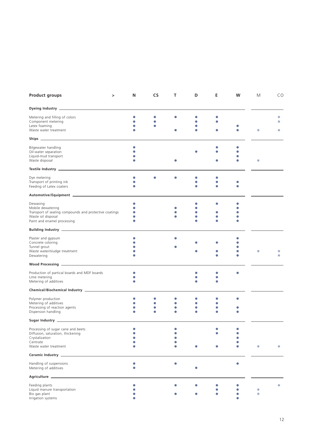| <b>Product groups</b>                                                        | > | N         | CS | т | D         | Е | w | М         | CO        |
|------------------------------------------------------------------------------|---|-----------|----|---|-----------|---|---|-----------|-----------|
| Dyeing Industry <b>Commission Commission Commission</b>                      |   |           |    |   |           |   |   |           |           |
| Metering and filling of colors                                               |   | $\bullet$ |    |   |           |   |   |           |           |
| Component metering                                                           |   |           |    |   |           |   |   |           |           |
| Latex foaming                                                                |   |           | ۰  |   |           |   |   |           |           |
| Waste water treatment                                                        |   |           |    |   |           |   |   |           | e         |
|                                                                              |   |           |    |   |           |   |   |           |           |
| Bilgewater handling                                                          |   |           |    |   |           |   |   |           |           |
| Oil-water separation                                                         |   |           |    |   |           |   |   |           |           |
| Liquid-mud transport<br>Waste disposal                                       |   |           |    |   |           |   |   | ۰         |           |
|                                                                              |   |           |    |   |           |   |   |           |           |
| Dye metering                                                                 |   | 0         |    |   |           |   |   |           |           |
| Transport of printing ink                                                    |   |           |    |   |           |   |   |           |           |
| Feeding of Latex coaters                                                     |   |           |    |   |           |   |   |           |           |
|                                                                              |   |           |    |   |           |   |   |           |           |
| Dewaxing                                                                     |   | $\bullet$ |    |   |           | c |   |           |           |
| Mobile dewatering                                                            |   | $\bullet$ |    |   |           |   |   |           |           |
| Transport of sealing compounds and protective coatings<br>Waste oil disposal |   | 0         |    |   | $\bullet$ |   |   |           |           |
| Paint and enamel processing                                                  |   | ۰         |    |   |           |   |   |           |           |
|                                                                              |   |           |    |   |           |   |   |           |           |
| Plaster and gypsum                                                           |   | $\bullet$ |    |   |           |   |   |           |           |
| Concrete coloring                                                            |   |           |    |   |           |   |   |           |           |
| Tunnel grout                                                                 |   |           |    |   |           |   |   |           |           |
| Waste water/sludge treatment                                                 |   |           |    |   |           |   |   |           |           |
| Dewatering                                                                   |   |           |    |   |           |   |   |           |           |
|                                                                              |   |           |    |   |           |   |   |           |           |
| Production of partical boards and MDF boards                                 |   | $\bullet$ |    |   |           |   |   |           |           |
| Lime metering                                                                |   |           |    |   |           |   |   |           |           |
| Metering of additives                                                        |   |           |    |   |           |   |   |           |           |
|                                                                              |   |           |    |   |           |   |   |           |           |
| Polymer production                                                           |   |           |    |   |           |   |   |           |           |
| Metering of additives<br>Processing of reaction agents                       |   | $\bullet$ | ۰  | O | c         |   |   |           |           |
| Dispersion handling                                                          |   |           |    |   |           |   |   |           |           |
|                                                                              |   |           |    |   |           |   |   |           |           |
| Processing of sugar cane and beets                                           |   | $\bullet$ |    |   |           |   |   |           |           |
| Diffusion, saturation, thickening                                            |   |           |    |   |           |   |   |           |           |
| Crystalization                                                               |   |           |    |   |           |   |   |           |           |
| Centrate                                                                     |   |           |    |   |           |   |   |           |           |
| Waste water treatment                                                        |   |           |    |   |           |   |   | $\bullet$ | $\bullet$ |
| Ceramic Industry __                                                          |   |           |    |   |           |   |   |           |           |
| Handling of suspensions<br>Metering of additives                             |   | 0         |    |   |           |   |   |           |           |
|                                                                              |   |           |    |   |           |   |   |           |           |
|                                                                              |   |           |    |   |           |   |   |           | O         |
| Feeding plants<br>Liquid manure transportation                               |   |           |    |   |           |   |   |           |           |
| Bio gas plant                                                                |   |           |    |   |           |   |   |           |           |
| Irrigation systems                                                           |   |           |    |   |           |   |   |           |           |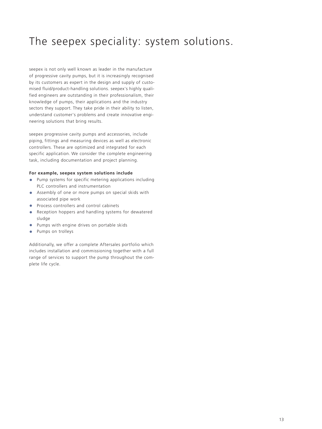# The seepex speciality: system solutions.

seepex is not only well known as leader in the manufacture of progressive cavity pumps, but it is increasingly recognised by its customers as expert in the design and supply of customised fluid/product-handling solutions. seepex's highly qualified engineers are outstanding in their professionalism, their knowledge of pumps, their applications and the industry sectors they support. They take pride in their ability to listen, understand customer's problems and create innovative engineering solutions that bring results.

seepex progressive cavity pumps and accessories, include piping, fittings and measuring devices as well as electronic controllers. These are optimized and integrated for each specific application. We consider the complete engineering task, including documentation and project planning.

#### **For example, seepex system solutions include**

- **•** Pump systems for specific metering applications including PLC controllers and instrumentation
- **•** Assembly of one or more pumps on special skids with associated pipe work
- **•** Process controllers and control cabinets
- **•** Reception hoppers and handling systems for dewatered sludge
- **•** Pumps with engine drives on portable skids
- **•**Pumps on trolleys

Additionally, we offer a complete Aftersales portfolio which includes installation and commissioning together with a full range of services to support the pump throughout the complete life cycle.